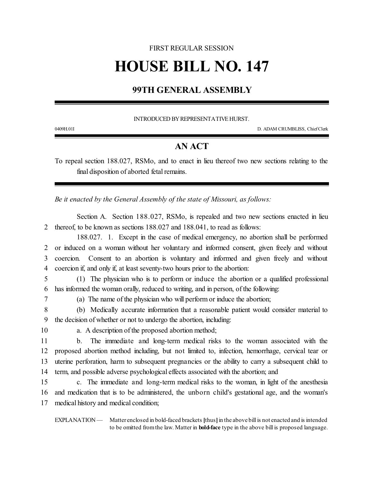## FIRST REGULAR SESSION

# **HOUSE BILL NO. 147**

## **99TH GENERAL ASSEMBLY**

#### INTRODUCED BY REPRESENTATIVE HURST.

0409H.01I D. ADAM CRUMBLISS, ChiefClerk

### **AN ACT**

To repeal section 188.027, RSMo, and to enact in lieu thereof two new sections relating to the final disposition of aborted fetal remains.

*Be it enacted by the General Assembly of the state of Missouri, as follows:*

Section A. Section 188.027, RSMo, is repealed and two new sections enacted in lieu 2 thereof, to be known as sections 188.027 and 188.041, to read as follows:

188.027. 1. Except in the case of medical emergency, no abortion shall be performed or induced on a woman without her voluntary and informed consent, given freely and without coercion. Consent to an abortion is voluntary and informed and given freely and without coercion if, and only if, at least seventy-two hours prior to the abortion:

5 (1) The physician who is to perform or induce the abortion or a qualified professional 6 has informed the woman orally, reduced to writing, and in person, of the following:

7 (a) The name of the physician who will perform or induce the abortion;

8 (b) Medically accurate information that a reasonable patient would consider material to 9 the decision of whether or not to undergo the abortion, including:

10 a. A description of the proposed abortion method;

 b. The immediate and long-term medical risks to the woman associated with the proposed abortion method including, but not limited to, infection, hemorrhage, cervical tear or uterine perforation, harm to subsequent pregnancies or the ability to carry a subsequent child to term, and possible adverse psychological effects associated with the abortion; and

15 c. The immediate and long-term medical risks to the woman, in light of the anesthesia 16 and medication that is to be administered, the unborn child's gestational age, and the woman's 17 medical history and medical condition;

EXPLANATION — Matter enclosed in bold-faced brackets [thus] in the above bill is not enacted and is intended to be omitted fromthe law. Matter in **bold-face** type in the above bill is proposed language.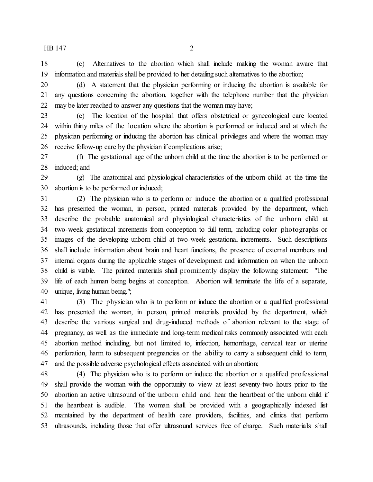(c) Alternatives to the abortion which shall include making the woman aware that information and materials shall be provided to her detailing such alternatives to the abortion;

 (d) A statement that the physician performing or inducing the abortion is available for any questions concerning the abortion, together with the telephone number that the physician may be later reached to answer any questions that the woman may have;

 (e) The location of the hospital that offers obstetrical or gynecological care located within thirty miles of the location where the abortion is performed or induced and at which the physician performing or inducing the abortion has clinical privileges and where the woman may receive follow-up care by the physician if complications arise;

 (f) The gestational age of the unborn child at the time the abortion is to be performed or induced; and

 (g) The anatomical and physiological characteristics of the unborn child at the time the abortion is to be performed or induced;

 (2) The physician who is to perform or induce the abortion or a qualified professional has presented the woman, in person, printed materials provided by the department, which describe the probable anatomical and physiological characteristics of the unborn child at two-week gestational increments from conception to full term, including color photographs or images of the developing unborn child at two-week gestational increments. Such descriptions shall include information about brain and heart functions, the presence of external members and internal organs during the applicable stages of development and information on when the unborn child is viable. The printed materials shall prominently display the following statement: "The life of each human being begins at conception. Abortion will terminate the life of a separate, unique, living human being.";

 (3) The physician who is to perform or induce the abortion or a qualified professional has presented the woman, in person, printed materials provided by the department, which describe the various surgical and drug-induced methods of abortion relevant to the stage of pregnancy, as well as the immediate and long-term medical risks commonly associated with each abortion method including, but not limited to, infection, hemorrhage, cervical tear or uterine perforation, harm to subsequent pregnancies or the ability to carry a subsequent child to term, and the possible adverse psychological effects associated with an abortion;

 (4) The physician who is to perform or induce the abortion or a qualified professional shall provide the woman with the opportunity to view at least seventy-two hours prior to the abortion an active ultrasound of the unborn child and hear the heartbeat of the unborn child if the heartbeat is audible. The woman shall be provided with a geographically indexed list maintained by the department of health care providers, facilities, and clinics that perform ultrasounds, including those that offer ultrasound services free of charge. Such materials shall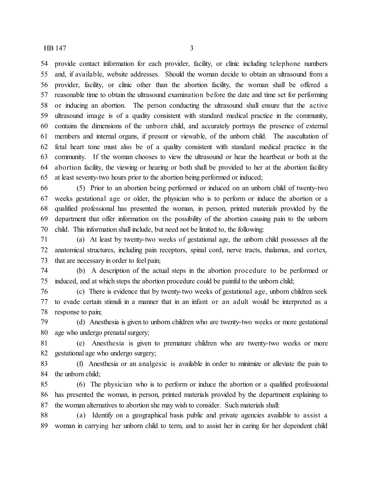provide contact information for each provider, facility, or clinic including telephone numbers and, if available, website addresses. Should the woman decide to obtain an ultrasound from a provider, facility, or clinic other than the abortion facility, the woman shall be offered a reasonable time to obtain the ultrasound examination before the date and time set for performing or inducing an abortion. The person conducting the ultrasound shall ensure that the active ultrasound image is of a quality consistent with standard medical practice in the community, contains the dimensions of the unborn child, and accurately portrays the presence of external members and internal organs, if present or viewable, of the unborn child. The auscultation of fetal heart tone must also be of a quality consistent with standard medical practice in the community. If the woman chooses to view the ultrasound or hear the heartbeat or both at the abortion facility, the viewing or hearing or both shall be provided to her at the abortion facility at least seventy-two hours prior to the abortion being performed or induced;

 (5) Prior to an abortion being performed or induced on an unborn child of twenty-two weeks gestational age or older, the physician who is to perform or induce the abortion or a qualified professional has presented the woman, in person, printed materials provided by the department that offer information on the possibility of the abortion causing pain to the unborn child. This information shall include, but need not be limited to, the following:

 (a) At least by twenty-two weeks of gestational age, the unborn child possesses all the anatomical structures, including pain receptors, spinal cord, nerve tracts, thalamus, and cortex, that are necessary in order to feel pain;

 (b) A description of the actual steps in the abortion procedure to be performed or induced, and at which steps the abortion procedure could be painful to the unborn child;

 (c) There is evidence that by twenty-two weeks of gestational age, unborn children seek to evade certain stimuli in a manner that in an infant or an adult would be interpreted as a response to pain;

 (d) Anesthesia is given to unborn children who are twenty-two weeks or more gestational 80 age who undergo prenatal surgery;

 (e) Anesthesia is given to premature children who are twenty-two weeks or more gestational age who undergo surgery;

 (f) Anesthesia or an analgesic is available in order to minimize or alleviate the pain to the unborn child;

 (6) The physician who is to perform or induce the abortion or a qualified professional has presented the woman, in person, printed materials provided by the department explaining to the woman alternatives to abortion she may wish to consider. Such materials shall:

 (a) Identify on a geographical basis public and private agencies available to assist a woman in carrying her unborn child to term, and to assist her in caring for her dependent child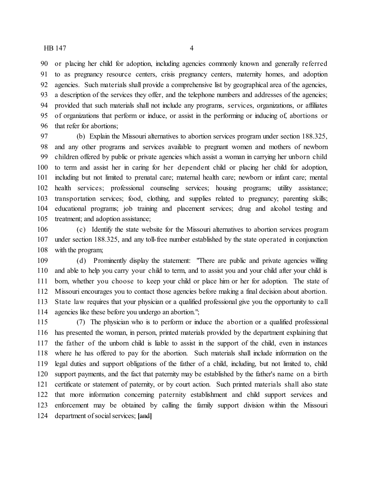or placing her child for adoption, including agencies commonly known and generally referred to as pregnancy resource centers, crisis pregnancy centers, maternity homes, and adoption agencies. Such materials shall provide a comprehensive list by geographical area of the agencies, a description of the services they offer, and the telephone numbers and addresses of the agencies; provided that such materials shall not include any programs, services, organizations, or affiliates of organizations that perform or induce, or assist in the performing or inducing of, abortions or that refer for abortions;

 (b) Explain the Missouri alternatives to abortion services program under section 188.325, and any other programs and services available to pregnant women and mothers of newborn children offered by public or private agencies which assist a woman in carrying her unborn child to term and assist her in caring for her dependent child or placing her child for adoption, including but not limited to prenatal care; maternal health care; newborn or infant care; mental health services; professional counseling services; housing programs; utility assistance; transportation services; food, clothing, and supplies related to pregnancy; parenting skills; educational programs; job training and placement services; drug and alcohol testing and treatment; and adoption assistance;

 (c) Identify the state website for the Missouri alternatives to abortion services program under section 188.325, and any toll-free number established by the state operated in conjunction with the program;

 (d) Prominently display the statement: "There are public and private agencies willing and able to help you carry your child to term, and to assist you and your child after your child is born, whether you choose to keep your child or place him or her for adoption. The state of Missouri encourages you to contact those agencies before making a final decision about abortion. State law requires that your physician or a qualified professional give you the opportunity to call agencies like these before you undergo an abortion.";

 (7) The physician who is to perform or induce the abortion or a qualified professional has presented the woman, in person, printed materials provided by the department explaining that the father of the unborn child is liable to assist in the support of the child, even in instances where he has offered to pay for the abortion. Such materials shall include information on the legal duties and support obligations of the father of a child, including, but not limited to, child support payments, and the fact that paternity may be established by the father's name on a birth certificate or statement of paternity, or by court action. Such printed materials shall also state that more information concerning paternity establishment and child support services and enforcement may be obtained by calling the family support division within the Missouri department of social services; **[**and**]**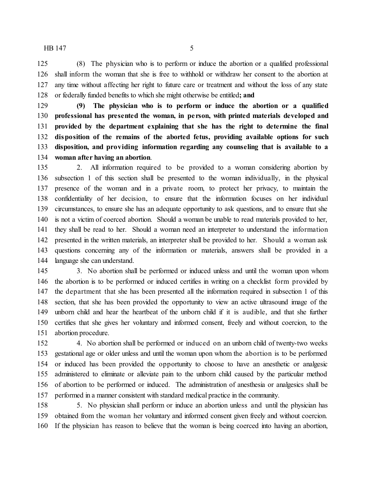(8) The physician who is to perform or induce the abortion or a qualified professional shall inform the woman that she is free to withhold or withdraw her consent to the abortion at any time without affecting her right to future care or treatment and without the loss of any state or federally funded benefits to which she might otherwise be entitled**; and**

 **(9) The physician who is to perform or induce the abortion or a qualified professional has presented the woman, in pe rson, with printed materials developed and provided by the department explaining that she has the right to determine the final disposition of the remains of the aborted fetus, providing available options for such disposition, and providing information regarding any counseling that is available to a woman after having an abortion**.

 2. All information required to be provided to a woman considering abortion by subsection 1 of this section shall be presented to the woman individually, in the physical presence of the woman and in a private room, to protect her privacy, to maintain the confidentiality of her decision, to ensure that the information focuses on her individual circumstances, to ensure she has an adequate opportunity to ask questions, and to ensure that she is not a victim of coerced abortion. Should a woman be unable to read materials provided to her, they shall be read to her. Should a woman need an interpreter to understand the information presented in the written materials, an interpreter shall be provided to her. Should a woman ask questions concerning any of the information or materials, answers shall be provided in a language she can understand.

 3. No abortion shall be performed or induced unless and until the woman upon whom the abortion is to be performed or induced certifies in writing on a checklist form provided by the department that she has been presented all the information required in subsection 1 of this section, that she has been provided the opportunity to view an active ultrasound image of the unborn child and hear the heartbeat of the unborn child if it is audible, and that she further certifies that she gives her voluntary and informed consent, freely and without coercion, to the abortion procedure.

 4. No abortion shall be performed or induced on an unborn child of twenty-two weeks gestational age or older unless and until the woman upon whom the abortion is to be performed or induced has been provided the opportunity to choose to have an anesthetic or analgesic administered to eliminate or alleviate pain to the unborn child caused by the particular method of abortion to be performed or induced. The administration of anesthesia or analgesics shall be performed in a manner consistent with standard medical practice in the community.

 5. No physician shall perform or induce an abortion unless and until the physician has obtained from the woman her voluntary and informed consent given freely and without coercion. If the physician has reason to believe that the woman is being coerced into having an abortion,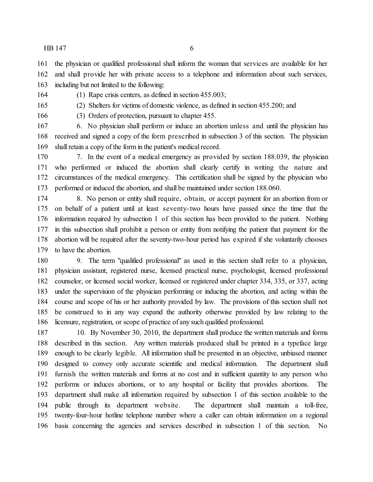the physician or qualified professional shall inform the woman that services are available for her

and shall provide her with private access to a telephone and information about such services,

including but not limited to the following:

(1) Rape crisis centers, as defined in section 455.003;

(2) Shelters for victims of domestic violence, as defined in section 455.200; and

(3) Orders of protection, pursuant to chapter 455.

 6. No physician shall perform or induce an abortion unless and until the physician has received and signed a copy of the form prescribed in subsection 3 of this section. The physician shall retain a copy of the form in the patient's medical record.

 7. In the event of a medical emergency as provided by section 188.039, the physician who performed or induced the abortion shall clearly certify in writing the nature and circumstances of the medical emergency. This certification shall be signed by the physician who performed or induced the abortion, and shall be maintained under section 188.060.

 8. No person or entity shall require, obtain, or accept payment for an abortion from or on behalf of a patient until at least seventy-two hours have passed since the time that the information required by subsection 1 of this section has been provided to the patient. Nothing in this subsection shall prohibit a person or entity from notifying the patient that payment for the abortion will be required after the seventy-two-hour period has expired if she voluntarily chooses to have the abortion.

 9. The term "qualified professional" as used in this section shall refer to a physician, physician assistant, registered nurse, licensed practical nurse, psychologist, licensed professional counselor, or licensed social worker, licensed or registered under chapter 334, 335, or 337, acting under the supervision of the physician performing or inducing the abortion, and acting within the course and scope of his or her authority provided by law. The provisions of this section shall not be construed to in any way expand the authority otherwise provided by law relating to the licensure, registration, or scope of practice of any such qualified professional.

 10. By November 30, 2010, the department shall produce the written materials and forms described in this section. Any written materials produced shall be printed in a typeface large enough to be clearly legible. All information shall be presented in an objective, unbiased manner designed to convey only accurate scientific and medical information. The department shall furnish the written materials and forms at no cost and in sufficient quantity to any person who performs or induces abortions, or to any hospital or facility that provides abortions. The department shall make all information required by subsection 1 of this section available to the public through its department website. The department shall maintain a toll-free, twenty-four-hour hotline telephone number where a caller can obtain information on a regional basis concerning the agencies and services described in subsection 1 of this section. No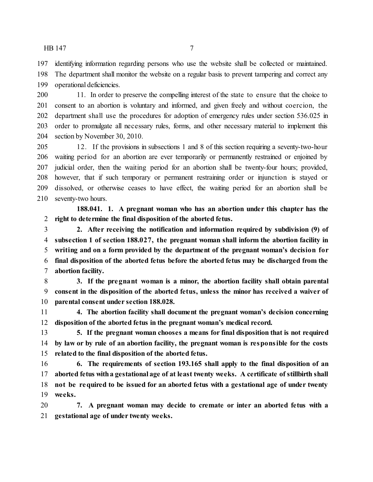identifying information regarding persons who use the website shall be collected or maintained. The department shall monitor the website on a regular basis to prevent tampering and correct any operational deficiencies.

 11. In order to preserve the compelling interest of the state to ensure that the choice to consent to an abortion is voluntary and informed, and given freely and without coercion, the department shall use the procedures for adoption of emergency rules under section 536.025 in order to promulgate all necessary rules, forms, and other necessary material to implement this section by November 30, 2010.

 12. If the provisions in subsections 1 and 8 of this section requiring a seventy-two-hour waiting period for an abortion are ever temporarily or permanently restrained or enjoined by judicial order, then the waiting period for an abortion shall be twenty-four hours; provided, however, that if such temporary or permanent restraining order or injunction is stayed or dissolved, or otherwise ceases to have effect, the waiting period for an abortion shall be seventy-two hours.

**188.041. 1. A pregnant woman who has an abortion under this chapter has the right to determine the final disposition of the aborted fetus.**

 **2. After receiving the notification and information required by subdivision (9) of subsection 1 of section 188.027, the pregnant woman shall inform the abortion facility in writing and on a form provided by the department of the pregnant woman's decision for final disposition of the aborted fetus before the aborted fetus may be discharged from the abortion facility.**

 **3. If the pregnant woman is a minor, the abortion facility shall obtain parental consent in the disposition of the aborted fetus, unless the minor has received a waiver of parental consent under section 188.028.**

 **4. The abortion facility shall document the pregnant woman's decision concerning disposition of the aborted fetus in the pregnant woman's medical record.**

 **5. If the pregnant woman chooses a means for final disposition that is not required by law or by rule of an abortion facility, the pregnant woman is responsible for the costs related to the final disposition of the aborted fetus.**

 **6. The requirements of section 193.165 shall apply to the final disposition of an aborted fetus witha gestational age of at least twenty weeks. A certificate of stillbirth shall not be required to be issued for an aborted fetus with a gestational age of under twenty weeks.**

 **7. A pregnant woman may decide to cremate or inter an aborted fetus with a gestational age of under twenty weeks.**